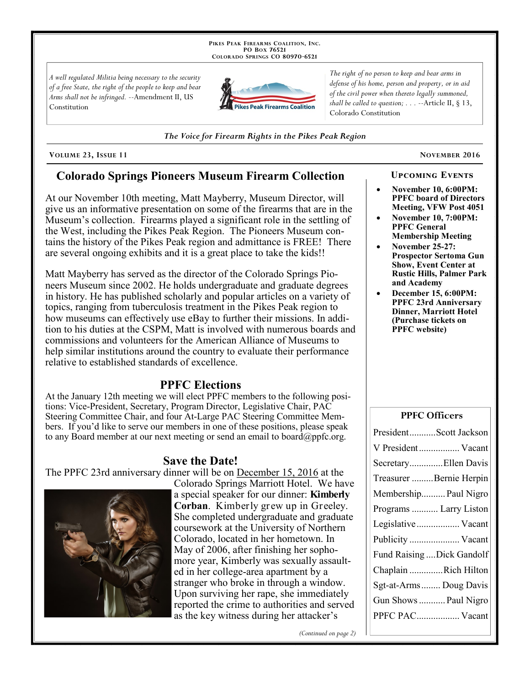PIKES PEAK FIREARMS COALITION, INC. PO Box 76521 COLORADO SPRINGS CO 80970-6521

A well regulated Militia being necessary to the security of a free State, the right of the people to keep and bear Arms shall not be infringed. --Amendment II, US Constitution



The right of no person to keep and bear arms in defense of his home, person and property, or in aid of the civil power when thereto legally summoned, shall be called to question;  $\ldots$  --Article II, § 13, Colorado Constitution

The Voice for Firearm Rights in the Pikes Peak Region

VOLUME 23, ISSUE 11

# **Colorado Springs Pioneers Museum Firearm Collection**

At our November 10th meeting, Matt Mayberry, Museum Director, will give us an informative presentation on some of the firearms that are in the Museum's collection. Firearms played a significant role in the settling of the West, including the Pikes Peak Region. The Pioneers Museum contains the history of the Pikes Peak region and admittance is FREE! There are several ongoing exhibits and it is a great place to take the kids!!

Matt Mayberry has served as the director of the Colorado Springs Pioneers Museum since 2002. He holds undergraduate and graduate degrees in history. He has published scholarly and popular articles on a variety of topics, ranging from tuberculosis treatment in the Pikes Peak region to how museums can effectively use eBay to further their missions. In addition to his duties at the CSPM. Matt is involved with numerous boards and commissions and volunteers for the American Alliance of Museums to help similar institutions around the country to evaluate their performance relative to established standards of excellence.

# **PPFC Elections**

At the January 12th meeting we will elect PPFC members to the following positions: Vice-President, Secretary, Program Director, Legislative Chair, PAC Steering Committee Chair, and four At-Large PAC Steering Committee Members. If you'd like to serve our members in one of these positions, please speak to any Board member at our next meeting or send an email to board@ppfc.org.

## **Save the Date!**

The PPFC 23rd anniversary dinner will be on December 15, 2016 at the



Colorado Springs Marriott Hotel. We have a special speaker for our dinner: **Kimberly** Corban. Kimberly grew up in Greeley. She completed undergraduate and graduate coursework at the University of Northern Colorado, located in her hometown. In May of 2006, after finishing her sophomore year, Kimberly was sexually assaulted in her college-area apartment by a stranger who broke in through a window. Upon surviving her rape, she immediately reported the crime to authorities and served as the key witness during her attacker's

(Continued on page 2)

NOVEMBER 2016

**November 10, 6:00PM: PPFC** board of Directors Meeting, VFW Post 4051

**UPCOMING EVENTS** 

- **November 10, 7:00PM: PPFC General Membership Meeting**
- November 25-27: **Prospector Sertoma Gun Show, Event Center at Rustic Hills, Palmer Park** and Academy
- December 15, 6:00PM: **PPFC 23rd Anniversary Dinner, Marriott Hotel** (Purchase tickets on **PPFC** website)

#### **PPFC Officers**

| PresidentScott Jackson     |
|----------------------------|
| V President Vacant         |
| SecretaryEllen Davis       |
| Treasurer Bernie Herpin    |
| Membership Paul Nigro      |
| Programs  Larry Liston     |
| Legislative Vacant         |
| Publicity  Vacant          |
| Fund Raising  Dick Gandolf |
| Chaplain Rich Hilton       |
| Sgt-at-Arms Doug Davis     |
| Gun Shows  Paul Nigro      |
| PPFC PAC Vacant            |